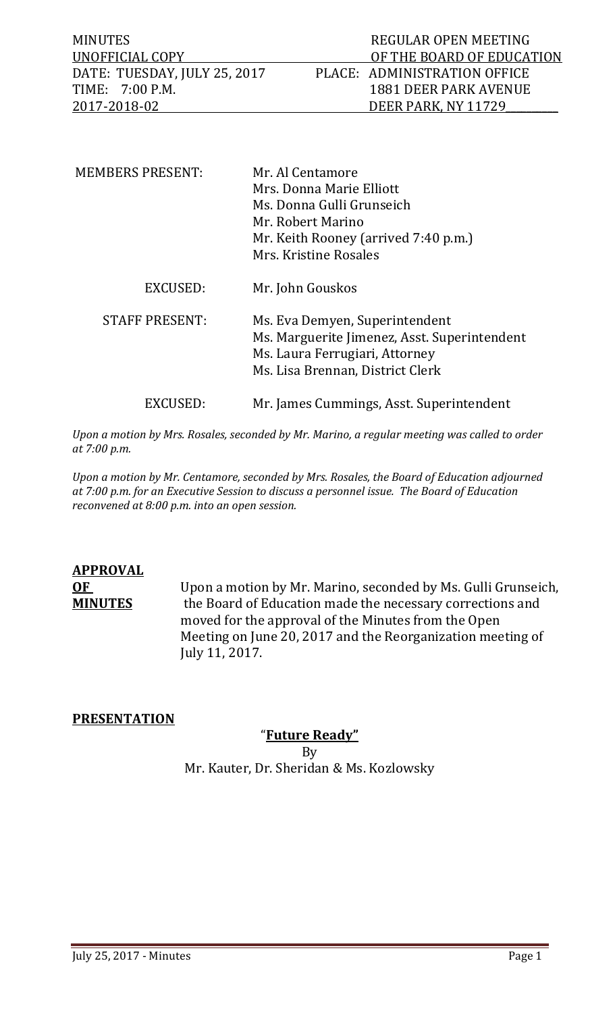MINUTES REGULAR OPEN MEETING OF THE BOARD OF EDUCATION<br>PLACE: ADMINISTRATION OFFICE DATE: TUESDAY, JULY 25, 2017<br>TIME: 7:00 P.M. TIME: 7:00 P.M. 1881 DEER PARK AVENUE<br>2017-2018-02 DEER PARK, NY 11729 DEER PARK, NY 11729

| <b>MEMBERS PRESENT:</b> | Mr. Al Centamore<br>Mrs. Donna Marie Elliott<br>Ms. Donna Gulli Grunseich<br>Mr. Robert Marino<br>Mr. Keith Rooney (arrived 7:40 p.m.)<br>Mrs. Kristine Rosales |
|-------------------------|-----------------------------------------------------------------------------------------------------------------------------------------------------------------|
| EXCUSED:                | Mr. John Gouskos                                                                                                                                                |
| <b>STAFF PRESENT:</b>   | Ms. Eva Demyen, Superintendent<br>Ms. Marguerite Jimenez, Asst. Superintendent<br>Ms. Laura Ferrugiari, Attorney<br>Ms. Lisa Brennan, District Clerk            |
| EXCUSED:                | Mr. James Cummings, Asst. Superintendent                                                                                                                        |

*Upon a motion by Mrs. Rosales, seconded by Mr. Marino, a regular meeting was called to order at 7:00 p.m.* 

*Upon a motion by Mr. Centamore, seconded by Mrs. Rosales, the Board of Education adjourned at 7:00 p.m. for an Executive Session to discuss a personnel issue. The Board of Education reconvened at 8:00 p.m. into an open session.*

# **APPROVAL**

**OF** Upon a motion by Mr. Marino, seconded by Ms. Gulli Grunseich,<br>**MINUTES** the Board of Education made the necessary corrections and the Board of Education made the necessary corrections and moved for the approval of the Minutes from the Open Meeting on June 20, 2017 and the Reorganization meeting of July 11, 2017.

# **PRESENTATION**

# "**Future Ready"**

By Mr. Kauter, Dr. Sheridan & Ms. Kozlowsky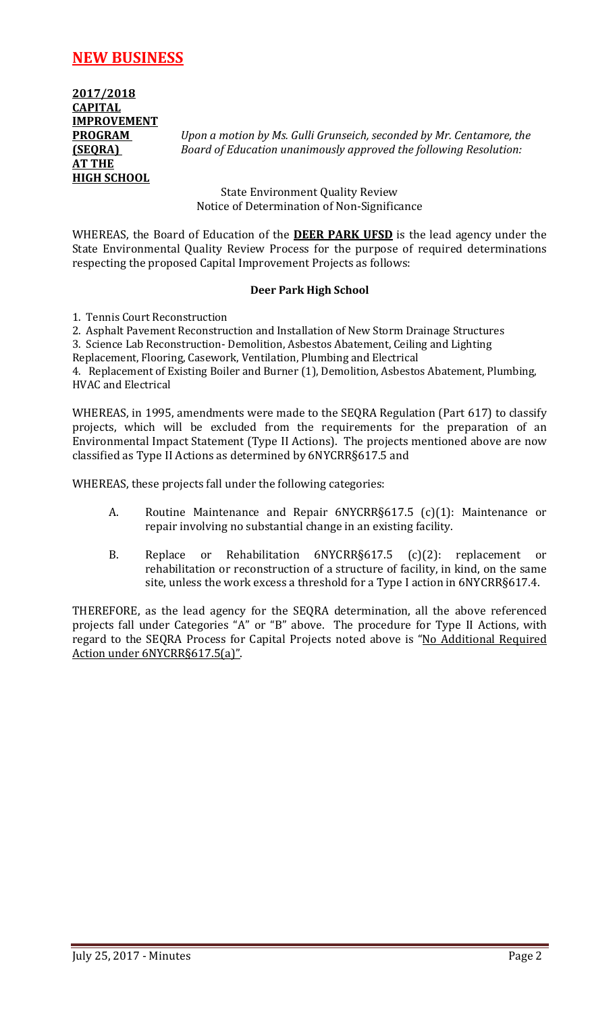# **NEW BUSINESS**

**2017/2018 CAPITAL IMPROVEMENT AT THE HIGH SCHOOL**

**PROGRAM** *Upon a motion by Ms. Gulli Grunseich, seconded by Mr. Centamore, the*  **(SEQRA)** *Board of Education unanimously approved the following Resolution:*

> State Environment Quality Review Notice of Determination of Non-Significance

WHEREAS, the Board of Education of the **DEER PARK UFSD** is the lead agency under the State Environmental Quality Review Process for the purpose of required determinations respecting the proposed Capital Improvement Projects as follows:

#### **Deer Park High School**

1. Tennis Court Reconstruction

2. Asphalt Pavement Reconstruction and Installation of New Storm Drainage Structures

3. Science Lab Reconstruction- Demolition, Asbestos Abatement, Ceiling and Lighting

Replacement, Flooring, Casework, Ventilation, Plumbing and Electrical

4. Replacement of Existing Boiler and Burner (1), Demolition, Asbestos Abatement, Plumbing, HVAC and Electrical

WHEREAS, in 1995, amendments were made to the SEQRA Regulation (Part 617) to classify projects, which will be excluded from the requirements for the preparation of an Environmental Impact Statement (Type II Actions). The projects mentioned above are now classified as Type II Actions as determined by 6NYCRR§617.5 and

WHEREAS, these projects fall under the following categories:

- A. Routine Maintenance and Repair 6NYCRR§617.5 (c)(1): Maintenance or repair involving no substantial change in an existing facility.
- B. Replace or Rehabilitation 6NYCRR§617.5 (c)(2): replacement or rehabilitation or reconstruction of a structure of facility, in kind, on the same site, unless the work excess a threshold for a Type I action in 6NYCRR§617.4.

THEREFORE, as the lead agency for the SEQRA determination, all the above referenced projects fall under Categories "A" or "B" above. The procedure for Type II Actions, with regard to the SEQRA Process for Capital Projects noted above is "No Additional Required Action under 6NYCRR§617.5(a)".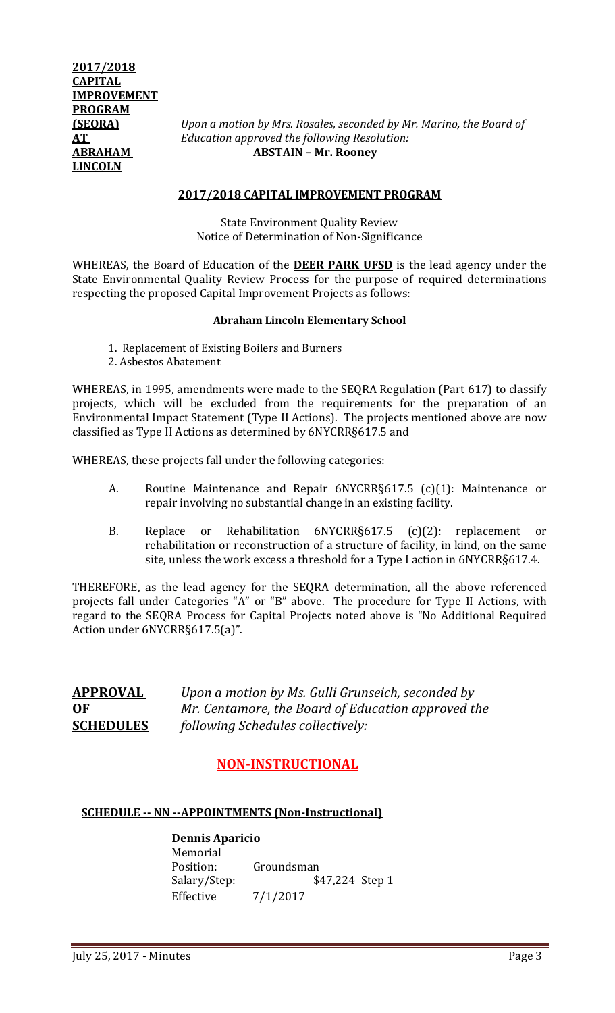**(SEQRA)** *Upon a motion by Mrs. Rosales, seconded by Mr. Marino, the Board of*  **AT** *Education approved the following Resolution:* **ABRAHAM ABSTAIN – Mr. Rooney**

#### **2017/2018 CAPITAL IMPROVEMENT PROGRAM**

State Environment Quality Review Notice of Determination of Non-Significance

WHEREAS, the Board of Education of the **DEER PARK UFSD** is the lead agency under the State Environmental Quality Review Process for the purpose of required determinations respecting the proposed Capital Improvement Projects as follows:

#### **Abraham Lincoln Elementary School**

- 1. Replacement of Existing Boilers and Burners
- 2. Asbestos Abatement

WHEREAS, in 1995, amendments were made to the SEQRA Regulation (Part 617) to classify projects, which will be excluded from the requirements for the preparation of an Environmental Impact Statement (Type II Actions). The projects mentioned above are now classified as Type II Actions as determined by 6NYCRR§617.5 and

WHEREAS, these projects fall under the following categories:

- A. Routine Maintenance and Repair 6NYCRR§617.5 (c)(1): Maintenance or repair involving no substantial change in an existing facility.
- B. Replace or Rehabilitation 6NYCRR§617.5 (c)(2): replacement or rehabilitation or reconstruction of a structure of facility, in kind, on the same site, unless the work excess a threshold for a Type I action in 6NYCRR§617.4.

THEREFORE, as the lead agency for the SEQRA determination, all the above referenced projects fall under Categories "A" or "B" above. The procedure for Type II Actions, with regard to the SEQRA Process for Capital Projects noted above is "No Additional Required Action under 6NYCRR§617.5(a)".

**APPROVAL** *Upon a motion by Ms. Gulli Grunseich, seconded by* **OF** *Mr. Centamore, the Board of Education approved the* **SCHEDULES** *following Schedules collectively:*

# **NON-INSTRUCTIONAL**

# **SCHEDULE -- NN --APPOINTMENTS (Non-Instructional)**

**Dennis Aparicio** Memorial<br>Position: Position: Groundsman<br>Salary/Step: \$ Salary/Step: \$47,224 Step 1<br>Effective 7/1/2017  $7/1/2017$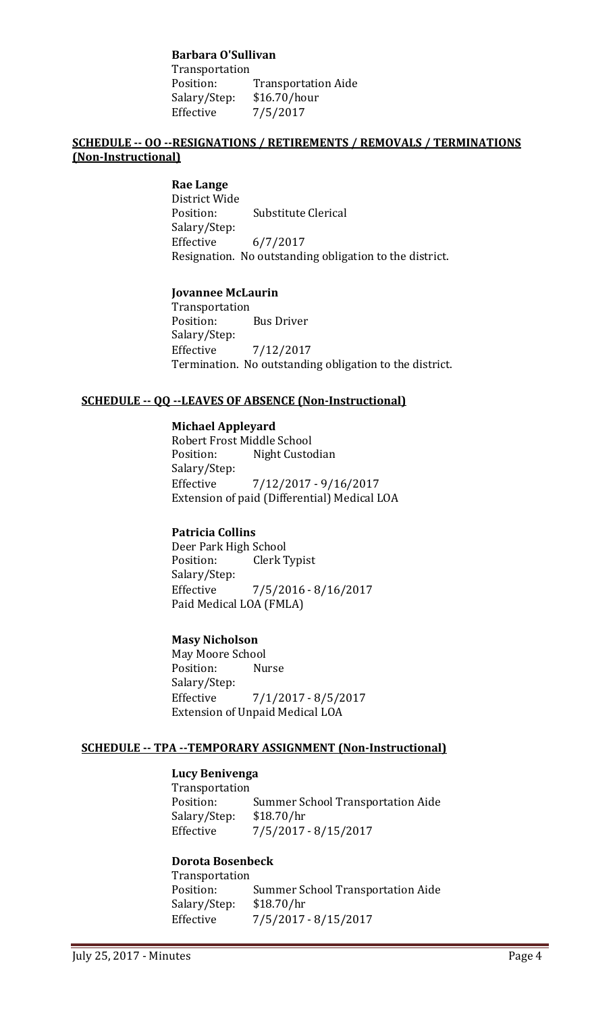## **Barbara O'Sullivan**

Transportation<br>Position: Transportation Aide<br>\$16.70/hour Salary/Step:<br>Effective Effective 7/5/2017

# **SCHEDULE -- OO --RESIGNATIONS / RETIREMENTS / REMOVALS / TERMINATIONS (Non-Instructional)**

**Rae Lange** District Wide **Substitute Clerical** Salary/Step:<br>Effective  $6/7/2017$ Resignation. No outstanding obligation to the district.

### **Jovannee McLaurin**

Transportation<br>Position: **Bus Driver** Salary/Step: Effective 7/12/2017 Termination. No outstanding obligation to the district.

# **SCHEDULE -- QQ --LEAVES OF ABSENCE (Non-Instructional)**

#### **Michael Appleyard**

Robert Frost Middle School<br>Position: Night Custo Night Custodian Salary/Step:<br>Effective Effective 7/12/2017 - 9/16/2017 Extension of paid (Differential) Medical LOA

# **Patricia Collins**

Deer Park High School<br>Position: Clerk T Clerk Typist Salary/Step: Effective 7/5/2016 - 8/16/2017 Paid Medical LOA (FMLA)

# **Masy Nicholson**

May Moore School<br>Position: Nurse Position: Salary/Step:<br>Effective Effective 7/1/2017 - 8/5/2017 Extension of Unpaid Medical LOA

# **SCHEDULE -- TPA --TEMPORARY ASSIGNMENT (Non-Instructional)**

# **Lucy Benivenga**

Transportation Summer School Transportation Aide<br>\$18.70/hr Salary/Step:<br>Effective Effective 7/5/2017 - 8/15/2017

# **Dorota Bosenbeck**

Transportation Summer School Transportation Aide<br>\$18.70/hr Salary/Step:<br>Effective Effective 7/5/2017 - 8/15/2017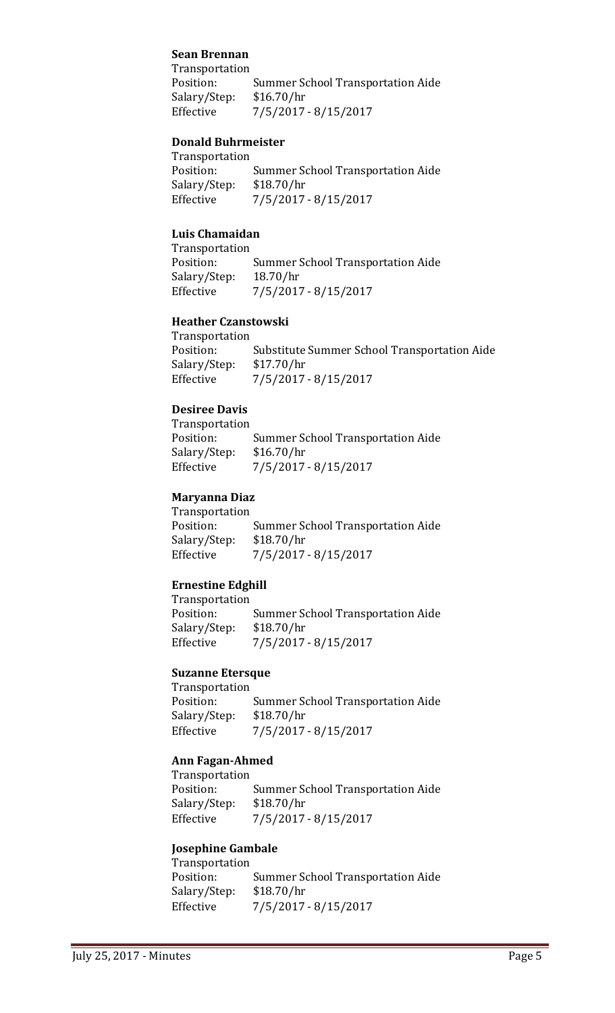## **Sean Brennan**

Transportation<br>Position: Summer School Transportation Aide Salary/Step: \$16.70/hr Effective 7/5/2017 - 8/15/2017

#### **Donald Buhrmeister**

Transportation<br>Position: Summer School Transportation Aide<br>\$18.70/hr Salary/Step:<br>Effective Effective 7/5/2017 - 8/15/2017

# **Luis Chamaidan**

Transportation<br>Position: Summer School Transportation Aide<br>18.70/hr Salary/Step:<br>Effective Effective 7/5/2017 - 8/15/2017

# **Heather Czanstowski**

Transportation<br>Position: Substitute Summer School Transportation Aide<br>\$17.70/hr Salary/Step:<br>Effective Effective 7/5/2017 - 8/15/2017

#### **Desiree Davis**

Transportation Summer School Transportation Aide<br>\$16.70/hr Salary/Step:<br>Effective Effective 7/5/2017 - 8/15/2017

### **Maryanna Diaz**

Transportation Summer School Transportation Aide<br>\$18.70/hr Salary/Step:<br>Effective Effective 7/5/2017 - 8/15/2017

#### **Ernestine Edghill**

Transportation Summer School Transportation Aide<br>\$18.70/hr Salary/Step:<br>Effective Effective 7/5/2017 - 8/15/2017

# **Suzanne Etersque**

Transportation<br>Position: Summer School Transportation Aide<br>\$18.70/hr Salary/Step:<br>Effective Effective 7/5/2017 - 8/15/2017

# **Ann Fagan-Ahmed**

Transportation<br>Position: Summer School Transportation Aide<br>\$18.70/hr Salary/Step:<br>Effective Effective 7/5/2017 - 8/15/2017

#### **Josephine Gambale**

Transportation<br>Position: Summer School Transportation Aide<br>\$18.70/hr Salary/Step:<br>Effective Effective 7/5/2017 - 8/15/2017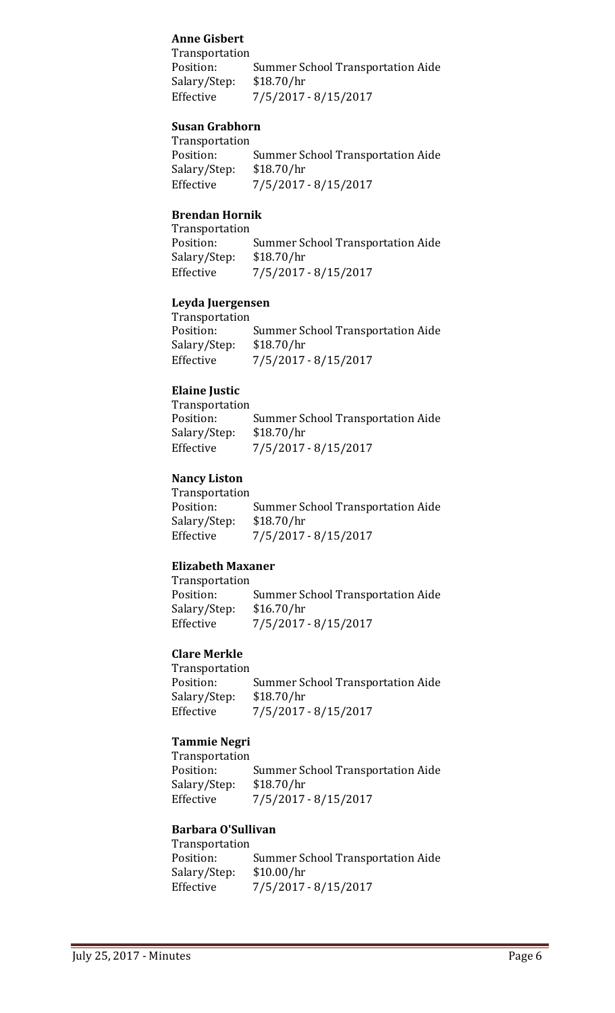# **Anne Gisbert**

Transportation Summer School Transportation Aide<br>\$18.70/hr Salary/Step:<br>Effective Effective 7/5/2017 - 8/15/2017

## **Susan Grabhorn**

| Transportation                           |
|------------------------------------------|
| <b>Summer School Transportation Aide</b> |
| \$18.70/hr                               |
| $7/5/2017 - 8/15/2017$                   |
|                                          |

# **Brendan Hornik**

Transportation<br>Position: Summer School Transportation Aide<br>\$18.70/hr Salary/Step: Effective 7/5/2017 - 8/15/2017

### **Leyda Juergensen**

| <b>Summer School Transportation Aide</b> |
|------------------------------------------|
| \$18.70/hr                               |
| 7/5/2017 - 8/15/2017                     |
|                                          |

# **Elaine Justic**

Transportation Summer School Transportation Aide<br>\$18.70/hr Salary/Step:<br>Effective Effective 7/5/2017 - 8/15/2017

### **Nancy Liston**

Transportation<br>Position: Summer School Transportation Aide<br>\$18.70/hr Salary/Step:<br>Effective Effective 7/5/2017 - 8/15/2017

# **Elizabeth Maxaner**

Transportation Summer School Transportation Aide<br>\$16.70/hr Salary/Step:<br>Effective Effective 7/5/2017 - 8/15/2017

# **Clare Merkle**

Transportation<br>Position: Summer School Transportation Aide<br>\$18.70/hr Salary/Step:<br>Effective Effective 7/5/2017 - 8/15/2017

# **Tammie Negri**

Transportation Summer School Transportation Aide<br>\$18.70/hr Salary/Step:<br>Effective Effective 7/5/2017 - 8/15/2017

#### **Barbara O'Sullivan**

Transportation<br>Position: Summer School Transportation Aide<br>\$10.00/hr Salary/Step:<br>Effective Effective 7/5/2017 - 8/15/2017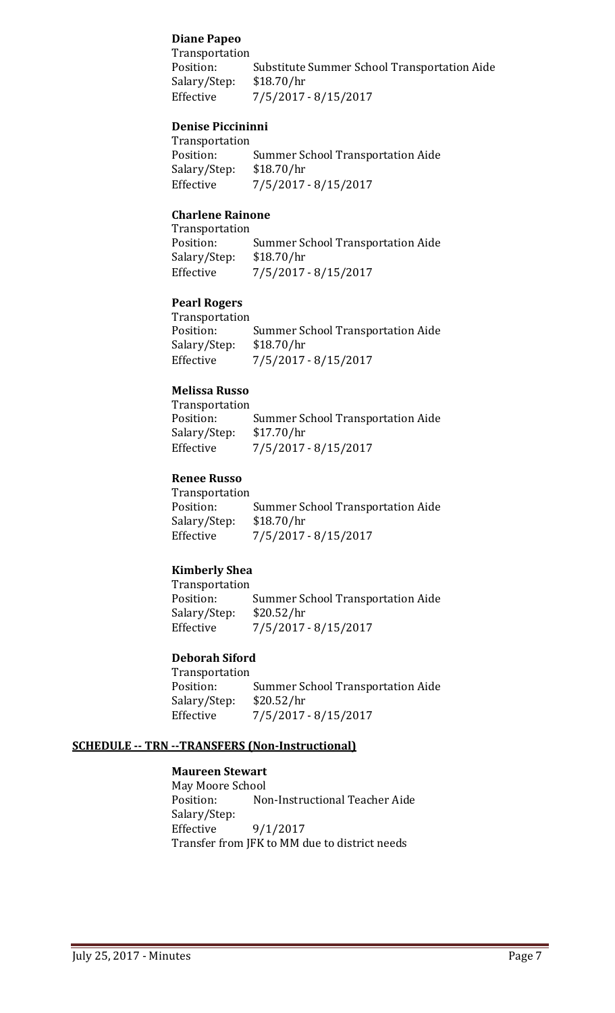# **Diane Papeo**

Transportation Substitute Summer School Transportation Aide<br>\$18.70/hr Salary/Step:<br>Effective Effective 7/5/2017 - 8/15/2017

## **Denise Piccininni**

Transportation Summer School Transportation Aide<br>\$18.70/hr Salary/Step:<br>Effective Effective 7/5/2017 - 8/15/2017

# **Charlene Rainone**

Transportation Summer School Transportation Aide<br>\$18.70/hr Salary/Step: Effective 7/5/2017 - 8/15/2017

# **Pearl Rogers**

Transportation<br>Position: Summer School Transportation Aide<br>\$18.70/hr Salary/Step:<br>Effective Effective 7/5/2017 - 8/15/2017

# **Melissa Russo**

Transportation Summer School Transportation Aide<br>\$17.70/hr Salary/Step:<br>Effective Effective 7/5/2017 - 8/15/2017

# **Renee Russo**

Transportation<br>Position: Summer School Transportation Aide<br>\$18.70/hr Salary/Step:<br>Effective Effective 7/5/2017 - 8/15/2017

# **Kimberly Shea**

Transportation<br>Position: Summer School Transportation Aide<br>\$20.52/hr Salary/Step:<br>Effective Effective 7/5/2017 - 8/15/2017

# **Deborah Siford**

Transportation<br>Position: Summer School Transportation Aide Salary/Step: \$20.52/hr Effective 7/5/2017 - 8/15/2017

# **SCHEDULE -- TRN --TRANSFERS (Non-Instructional)**

## **Maureen Stewart**

May Moore School<br>Position: No Non-Instructional Teacher Aide Salary/Step:<br>Effective  $9/1/2017$ Transfer from JFK to MM due to district needs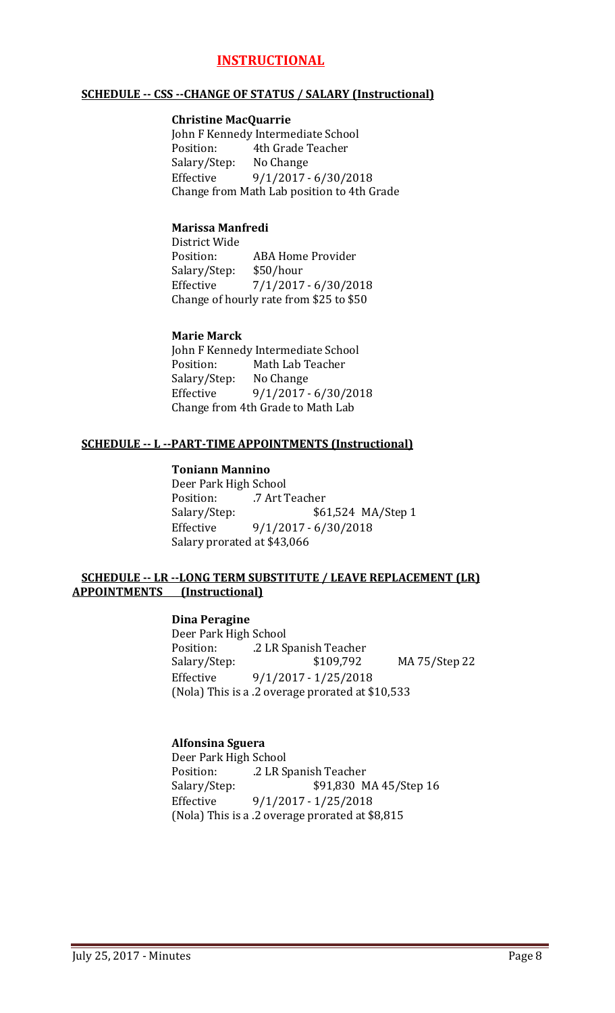# **INSTRUCTIONAL**

#### **SCHEDULE -- CSS --CHANGE OF STATUS / SALARY (Instructional)**

#### **Christine MacQuarrie**

John F Kennedy Intermediate School<br>Position: 4th Grade Teacher 4th Grade Teacher<br>No Change Salary/Step:<br>Effective Effective 9/1/2017 - 6/30/2018 Change from Math Lab position to 4th Grade

### **Marissa Manfredi**

District Wide ABA Home Provider<br>\$50/hour Salary/Step:<br>Effective Effective 7/1/2017 - 6/30/2018 Change of hourly rate from \$25 to \$50

### **Marie Marck**

John F Kennedy Intermediate School<br>Position: Math Lab Teacher Math Lab Teacher<br>No Change Salary/Step:<br>Effective Effective 9/1/2017 - 6/30/2018 Change from 4th Grade to Math Lab

### **SCHEDULE -- L --PART-TIME APPOINTMENTS (Instructional)**

#### **Toniann Mannino**

Deer Park High School<br>Position: 7 Art T .7 Art Teacher Salary/Step: \$61,524 MA/Step 1 Effective 9/1/2017 - 6/30/2018 Salary prorated at \$43,066

#### **SCHEDULE -- LR --LONG TERM SUBSTITUTE / LEAVE REPLACEMENT (LR) APPOINTMENTS (Instructional)**

# **Dina Peragine**

Deer Park High School Position: .2 LR Spanish Teacher Salary/Step: \$109,792 MA 75/Step 22<br>Effective 9/1/2017 - 1/25/2018  $9/1/2017 - 1/25/2018$ (Nola) This is a .2 overage prorated at \$10,533

#### **Alfonsina Sguera**

Deer Park High School Position: .2 LR Spanish Teacher<br>Salary/Step: \$91,830 M \$91,830 MA 45/Step 16 Effective 9/1/2017 - 1/25/2018 (Nola) This is a .2 overage prorated at \$8,815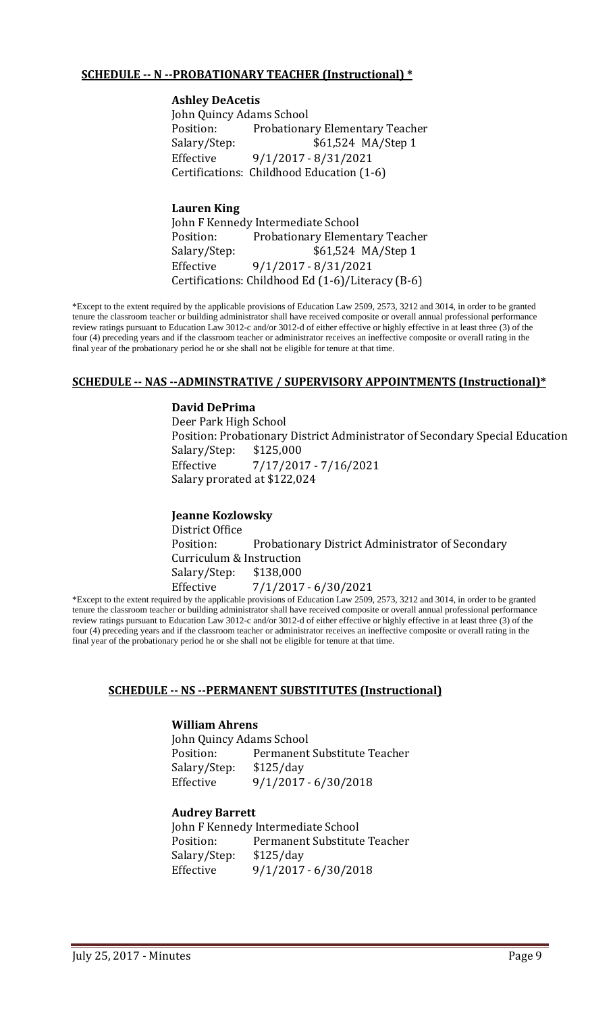## **SCHEDULE -- N --PROBATIONARY TEACHER (Instructional) \***

#### **Ashley DeAcetis**

John Quincy Adams School Position: Probationary Elementary Teacher<br>Salary/Step: \$61,524 MA/Step 1 \$61,524 MA/Step 1 Effective 9/1/2017 - 8/31/2021 Certifications: Childhood Education (1-6)

## **Lauren King**

John F Kennedy Intermediate School<br>Position: Probationary Elemen Position: Probationary Elementary Teacher<br>Salary/Step: \$61,524 MA/Step 1 \$61,524 MA/Step 1 Effective 9/1/2017 - 8/31/2021 Certifications: Childhood Ed (1-6)/Literacy (B-6)

\*Except to the extent required by the applicable provisions of Education Law 2509, 2573, 3212 and 3014, in order to be granted tenure the classroom teacher or building administrator shall have received composite or overall annual professional performance review ratings pursuant to Education Law 3012-c and/or 3012-d of either effective or highly effective in at least three (3) of the four (4) preceding years and if the classroom teacher or administrator receives an ineffective composite or overall rating in the final year of the probationary period he or she shall not be eligible for tenure at that time.

#### **SCHEDULE -- NAS --ADMINSTRATIVE / SUPERVISORY APPOINTMENTS (Instructional)\***

#### **David DePrima**

Deer Park High School Position: Probationary District Administrator of Secondary Special Education Salary/Step: Effective 7/17/2017 - 7/16/2021 Salary prorated at \$122,024

# **Jeanne Kozlowsky** District Office<br>Position Probationary District Administrator of Secondary Curriculum & Instruction<br>Salary/Step: \$138,000 Salary/Step: Effective 7/1/2017 - 6/30/2021

\*Except to the extent required by the applicable provisions of Education Law 2509, 2573, 3212 and 3014, in order to be granted tenure the classroom teacher or building administrator shall have received composite or overall annual professional performance review ratings pursuant to Education Law 3012-c and/or 3012-d of either effective or highly effective in at least three (3) of the four (4) preceding years and if the classroom teacher or administrator receives an ineffective composite or overall rating in the final year of the probationary period he or she shall not be eligible for tenure at that time.

#### **SCHEDULE -- NS --PERMANENT SUBSTITUTES (Instructional)**

#### **William Ahrens**

John Quincy Adams School Permanent Substitute Teacher<br>\$125/day Salary/Step: Effective 9/1/2017 - 6/30/2018

#### **Audrey Barrett**

John F Kennedy Intermediate School<br>Position: Permanent Substitute Permanent Substitute Teacher<br>\$125/day Salary/Step: Effective 9/1/2017 - 6/30/2018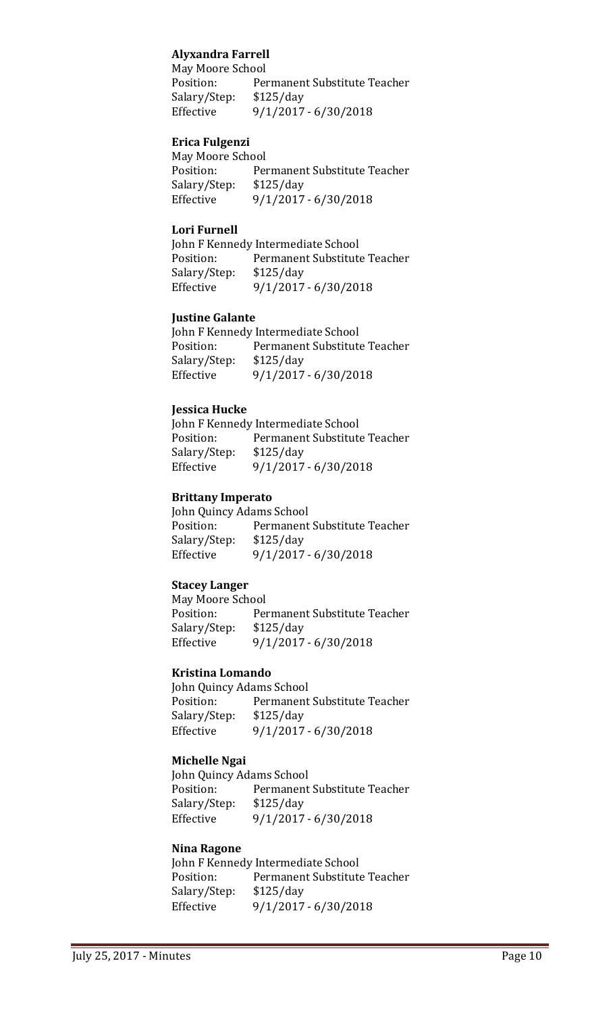# **Alyxandra Farrell**

May Moore School<br>Position: Per Permanent Substitute Teacher Salary/Step: \$125/day Effective 9/1/2017 - 6/30/2018

#### **Erica Fulgenzi**

May Moore School<br>Position: Per Permanent Substitute Teacher<br>\$125/day Salary/Step:<br>Effective Effective 9/1/2017 - 6/30/2018

#### **Lori Furnell**

John F Kennedy Intermediate School<br>Position: Permanent Substitute Permanent Substitute Teacher Salary/Step: \$125/day<br>Effective 9/1/2017 Effective 9/1/2017 - 6/30/2018

#### **Justine Galante**

|              | John F Kennedy Intermediate School |
|--------------|------------------------------------|
| Position:    | Permanent Substitute Teacher       |
| Salary/Step: | \$125/day                          |
| Effective    | $9/1/2017 - 6/30/2018$             |

#### **Jessica Hucke**

John F Kennedy Intermediate School<br>Position: Permanent Substitute Permanent Substitute Teacher<br>\$125/day Salary/Step:<br>Effective Effective 9/1/2017 - 6/30/2018

#### **Brittany Imperato**

John Quincy Adams School<br>Position: Permanent Permanent Substitute Teacher<br>\$125/day Salary/Step:<br>Effective Effective 9/1/2017 - 6/30/2018

#### **Stacey Langer**

May Moore School<br>Position: Per Permanent Substitute Teacher<br>\$125/day Salary/Step:<br>Effective Effective 9/1/2017 - 6/30/2018

#### **Kristina Lomando**

John Quincy Adams School<br>Position: Permanent Permanent Substitute Teacher<br>\$125/day Salary/Step:<br>Effective Effective 9/1/2017 - 6/30/2018

#### **Michelle Ngai**

John Quincy Adams School<br>Position: Permanent Permanent Substitute Teacher<br>\$125/day Salary/Step:<br>Effective Effective 9/1/2017 - 6/30/2018

#### **Nina Ragone**

John F Kennedy Intermediate School<br>Position: Permanent Substitute Permanent Substitute Teacher<br>\$125/day Salary/Step:<br>Effective Effective 9/1/2017 - 6/30/2018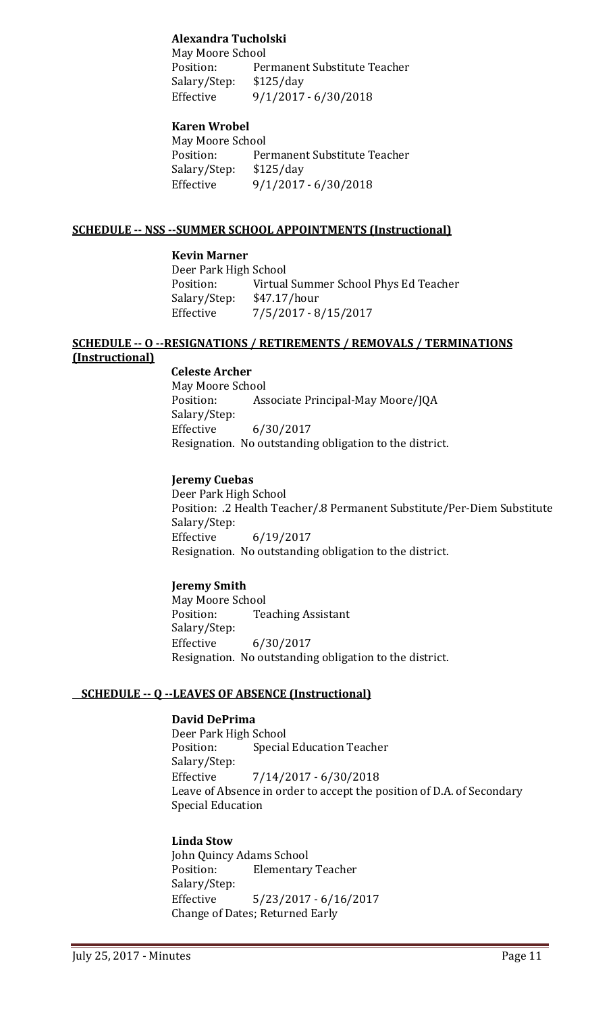# **Alexandra Tucholski**

May Moore School<br>Position: Per Permanent Substitute Teacher<br>\$125/day Salary/Step:<br>Effective Effective 9/1/2017 - 6/30/2018

# **Karen Wrobel**

May Moore School<br>Position: Per Permanent Substitute Teacher<br>\$125/day Salary/Step:<br>Effective Effective 9/1/2017 - 6/30/2018

## **SCHEDULE -- NSS --SUMMER SCHOOL APPOINTMENTS (Instructional)**

### **Kevin Marner**

Deer Park High School<br>Position: Virtual Virtual Summer School Phys Ed Teacher<br>\$47.17/hour Salary/Step:<br>Effective Effective 7/5/2017 - 8/15/2017

#### **SCHEDULE -- O --RESIGNATIONS / RETIREMENTS / REMOVALS / TERMINATIONS (Instructional)**

 **Celeste Archer**

May Moore School<br>Position: Ass Associate Principal-May Moore/JQA Salary/Step: Effective 6/30/2017 Resignation. No outstanding obligation to the district.

### **Jeremy Cuebas**

Deer Park High School Position: .2 Health Teacher/.8 Permanent Substitute/Per-Diem Substitute Salary/Step:<br>Effective Effective 6/19/2017 Resignation. No outstanding obligation to the district.

# **Jeremy Smith**

May Moore School<br>Position: Tea **Teaching Assistant** Salary/Step:<br>Effective Effective 6/30/2017 Resignation. No outstanding obligation to the district.

# **SCHEDULE -- Q --LEAVES OF ABSENCE (Instructional)**

# **David DePrima**

Deer Park High School<br>Position: Special **Special Education Teacher** Salary/Step:  $7/14/2017 - 6/30/2018$ Leave of Absence in order to accept the position of D.A. of Secondary Special Education

**Linda Stow** John Quincy Adams School<br>Position: Elementary **Elementary Teacher** Salary/Step: Effective 5/23/2017 - 6/16/2017 Change of Dates; Returned Early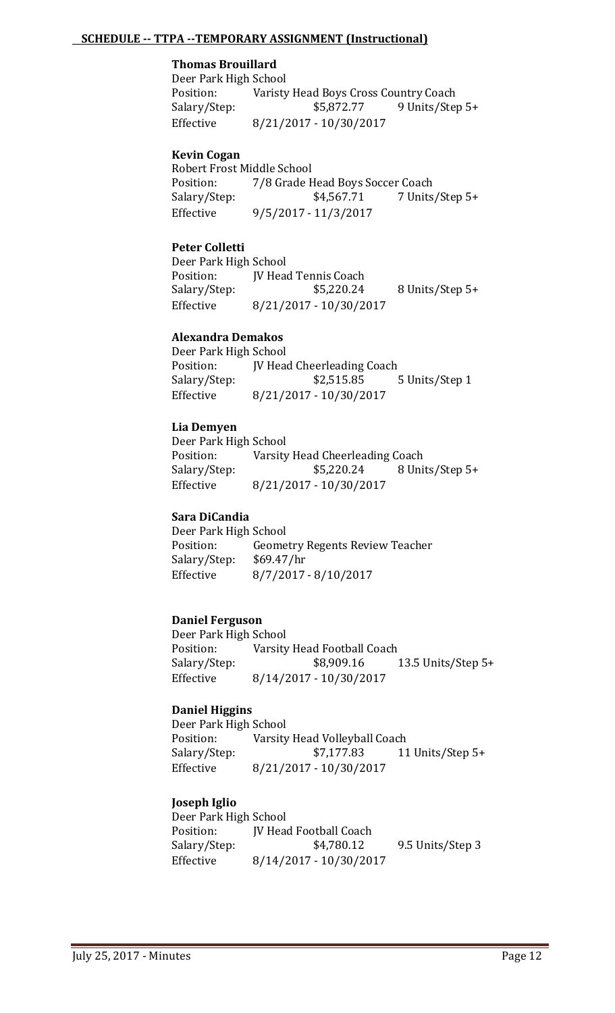# **SCHEDULE -- TTPA --TEMPORARY ASSIGNMENT (Instructional)**

# **Thomas Brouillard**

Deer Park High School<br>Position: Varisty Position: Varisty Head Boys Cross Country Coach<br>Salary/Step: \$5,872.77 9 Units/Step Salary/Step: \$5,872.77 9 Units/Step 5+<br>Effective 8/21/2017 - 10/30/2017 Effective 8/21/2017 - 10/30/2017

#### **Kevin Cogan**

Robert Frost Middle School<br>Position: 7/8 Grade F Position: 7/8 Grade Head Boys Soccer Coach<br>Salary/Step: \$4,567.71 7 Units 7 Units/Step 5+ Effective 9/5/2017 - 11/3/2017

#### **Peter Colletti**

Deer Park High School Position: JV Head Tennis Coach<br>Salary/Step: \$5,220.24 8 Units/Step 5+ Effective 8/21/2017 - 10/30/2017

#### **Alexandra Demakos**

Deer Park High School<br>Position: IV Hea Position: JV Head Cheerleading Coach<br>Salary/Step: \$2,515.85 Salary/Step: \$2,515.85 5 Units/Step 1<br>Effective 8/21/2017 - 10/30/2017 Effective 8/21/2017 - 10/30/2017

#### **Lia Demyen**

Deer Park High School<br>Position: Varsity Position: Varsity Head Cheerleading Coach<br>Salary/Step: \$5,220.24 8 Uni 8 Units/Step 5+ Effective 8/21/2017 - 10/30/2017

#### **Sara DiCandia**

Deer Park High School<br>Position: Geome Geometry Regents Review Teacher<br>\$69.47/hr Salary/Step:<br>Effective Effective 8/7/2017 - 8/10/2017

#### **Daniel Ferguson**

Deer Park High School<br>Position: Varsity Position: Varsity Head Football Coach<br>Salary/Step: \$8,909.16 Salary/Step: \$8,909.16 13.5 Units/Step 5+<br>Effective 8/14/2017 - 10/30/2017 Effective 8/14/2017 - 10/30/2017

#### **Daniel Higgins**

Deer Park High School<br>Position: Varsity Position: Varsity Head Volleyball Coach<br>Salary/Step: \$7,177.83 11 11 Units/Step 5+ Effective 8/21/2017 - 10/30/2017

#### **Joseph Iglio**

Deer Park High School<br>Position: [V Hea Position: JV Head Football Coach<br>Salary/Step: \$4,780.12 9.5 Units/Step 3 Effective 8/14/2017 - 10/30/2017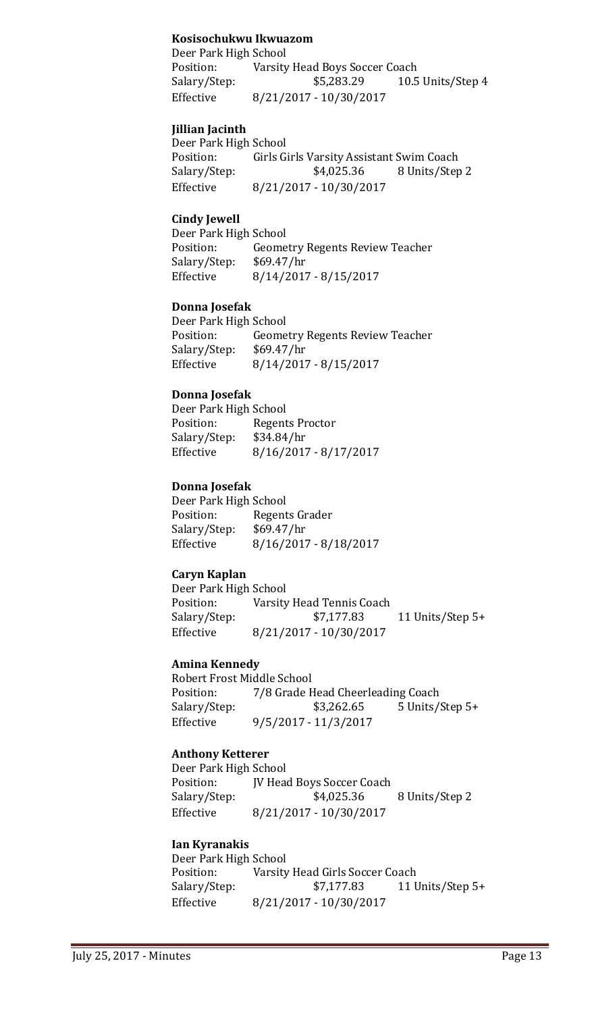# **Kosisochukwu Ikwuazom**

Deer Park High School<br>Position: Varsity Position: Varsity Head Boys Soccer Coach<br>Salary/Step: \$5,283.29 10.5 Salary/Step: \$5,283.29 10.5 Units/Step 4<br>Effective 8/21/2017 - 10/30/2017 Effective 8/21/2017 - 10/30/2017

# **Jillian Jacinth**

Deer Park High School<br>Position: Girls G Position: Girls Girls Varsity Assistant Swim Coach<br>Salary/Step: \$4,025.36 8 Units/Step Salary/Step: \$4,025.36 8 Units/Step 2<br>Effective 8/21/2017 - 10/30/2017 Effective 8/21/2017 - 10/30/2017

### **Cindy Jewell**

Deer Park High School<br>Position: Geome Geometry Regents Review Teacher<br>\$69.47/hr Salary/Step:<br>Effective Effective 8/14/2017 - 8/15/2017

### **Donna Josefak**

Deer Park High School<br>Position: Geome Geometry Regents Review Teacher<br>\$69.47/hr Salary/Step: Effective 8/14/2017 - 8/15/2017

### **Donna Josefak**

Deer Park High School Regents Proctor<br>\$34.84/hr Salary/Step:<br>Effective  $8/16/2017 - 8/17/2017$ 

### **Donna Josefak**

Deer Park High School<br>Position: Regent Regents Grader<br>\$69.47/hr Salary/Step:<br>Effective Effective 8/16/2017 - 8/18/2017

# **Caryn Kaplan**

Deer Park High School<br>Position: Varsity Position: Varsity Head Tennis Coach<br>Salary/Step: \$7,177.83 11 Units/Step  $5+$ Effective 8/21/2017 - 10/30/2017

#### **Amina Kennedy**

Robert Frost Middle School<br>Position: 7/8 Grade F 7/8 Grade Head Cheerleading Coach<br>\$3,262.65 5 Units/Step 5+ Salary/Step: Effective 9/5/2017 - 11/3/2017

# **Anthony Ketterer**

Deer Park High School<br>Position: [V Head Position: JV Head Boys Soccer Coach<br>Salary/Step: \$4,025.36 Salary/Step: \$4,025.36 8 Units/Step 2<br>Effective 8/21/2017 - 10/30/2017 Effective 8/21/2017 - 10/30/2017

## **Ian Kyranakis**

Deer Park High School<br>Position: Varsity Position: Varsity Head Girls Soccer Coach<br>Salary/Step: \$7,177.83 11 U 11 Units/Step 5+ Effective 8/21/2017 - 10/30/2017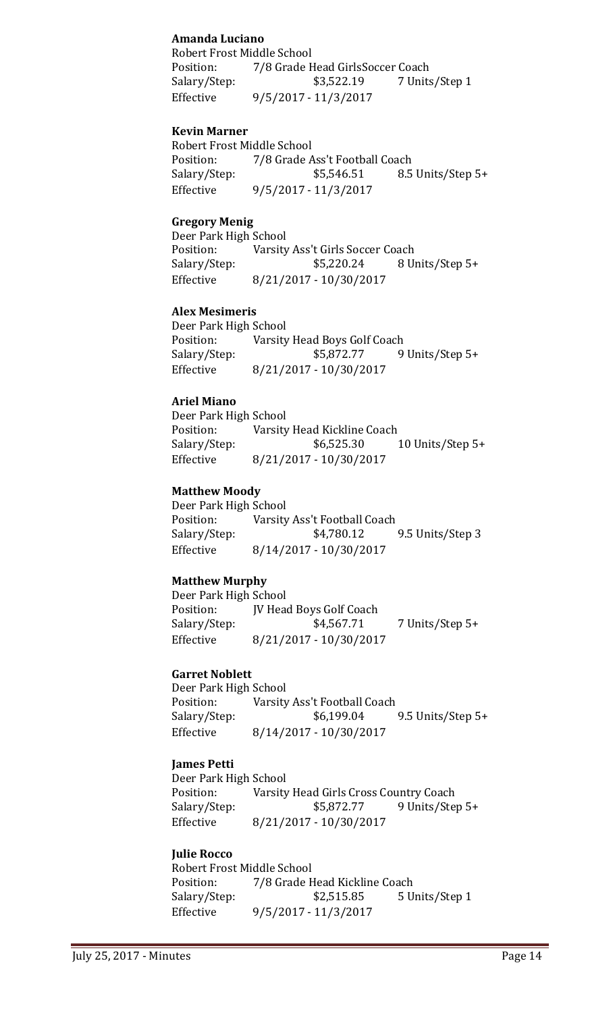# **Amanda Luciano**

Robert Frost Middle School Position: 7/8 Grade Head GirlsSoccer Coach<br>Salary/Step: \$3,522.19 7 Units 7 Units/Step 1 Effective 9/5/2017 - 11/3/2017

## **Kevin Marner**

Robert Frost Middle School<br>Position: 7/8 Grade A Position: 7/8 Grade Ass't Football Coach<br>Salary/Step: \$5,546.51 8.5 Salary/Step: \$5,546.51 8.5 Units/Step 5+<br>Effective 9/5/2017 - 11/3/2017 Effective 9/5/2017 - 11/3/2017

# **Gregory Menig**

Deer Park High School<br>Position: Varsity Position: Varsity Ass't Girls Soccer Coach<br>Salary/Step: \$5,220.24 8 U 8 Units/Step 5+ Effective 8/21/2017 - 10/30/2017

### **Alex Mesimeris**

Deer Park High School<br>Position: Varsity Position: Varsity Head Boys Golf Coach<br>Salary/Step: \$5,872.77 9 Salary/Step: \$5,872.77 9 Units/Step 5+<br>Effective 8/21/2017 - 10/30/2017 Effective 8/21/2017 - 10/30/2017

### **Ariel Miano**

Deer Park High School<br>Position: Varsity Position: Varsity Head Kickline Coach<br>Salary/Step: \$6,525.30 Salary/Step: \$6,525.30 10 Units/Step 5+<br>Effective 8/21/2017 - 10/30/2017 Effective 8/21/2017 - 10/30/2017

### **Matthew Moody**

Deer Park High School<br>Position: Varsity Position: Varsity Ass't Football Coach<br>Salary/Step: \$4,780.12 9.5 Units/Step 3 Effective 8/14/2017 - 10/30/2017

# **Matthew Murphy**

Deer Park High School Position: JV Head Boys Golf Coach<br>Salary/Step: \$4,567.71 Salary/Step: \$4,567.71 7 Units/Step 5+<br>Effective 8/21/2017 - 10/30/2017 Effective 8/21/2017 - 10/30/2017

#### **Garret Noblett**

Deer Park High School<br>Position: Varsity Position: Varsity Ass't Football Coach<br>Salary/Step: \$6,199.04 9.5 Units/Step 5+ Effective 8/14/2017 - 10/30/2017

# **James Petti**

Deer Park High School<br>Position: Varsity Position: Varsity Head Girls Cross Country Coach<br>Salary/Step: \$5,872.77 9 Units/Ste Salary/Step: \$5,872.77 9 Units/Step 5+<br>Effective 8/21/2017 - 10/30/2017 Effective 8/21/2017 - 10/30/2017

#### **Julie Rocco**

Robert Frost Middle School<br>Position: 7/8 Grade F Position: 7/8 Grade Head Kickline Coach<br>Salary/Step: \$2,515.85 5 U 5 Units/Step 1 Effective 9/5/2017 - 11/3/2017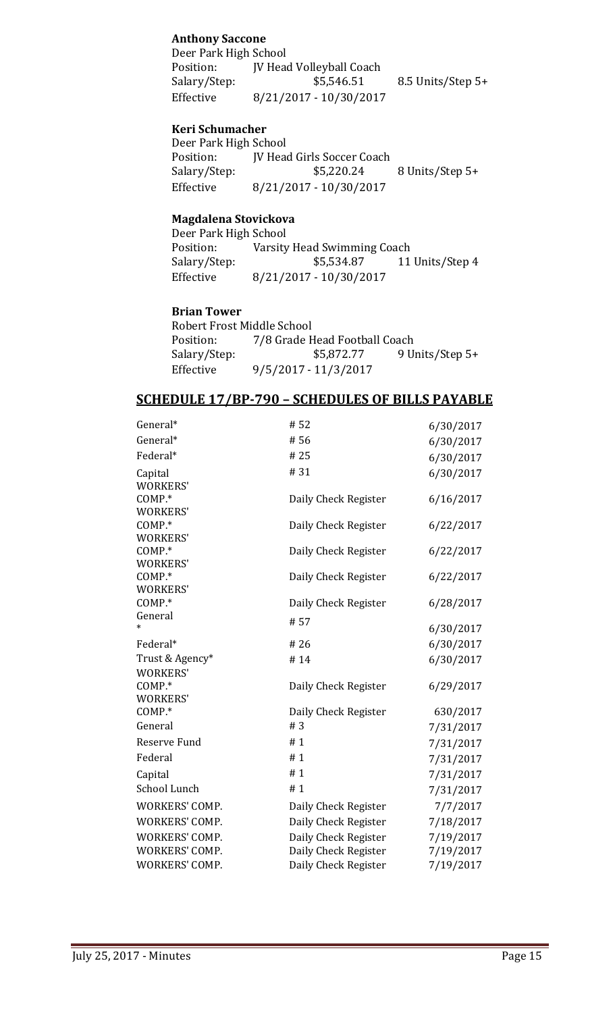# **Anthony Saccone**

Deer Park High School Position: JV Head Volleyball Coach<br>Salary/Step: \$5,546.51 8.5 Units/Step 5+ Effective 8/21/2017 - 10/30/2017

# **Keri Schumacher**

Deer Park High School<br>Position: JV Head Position: JV Head Girls Soccer Coach<br>Salary/Step: \$5,220.24 Salary/Step: \$5,220.24 8 Units/Step 5+<br>Effective 8/21/2017 - 10/30/2017 Effective 8/21/2017 - 10/30/2017

#### **Magdalena Stovickova**

Deer Park High School<br>Position: Varsity Position: Varsity Head Swimming Coach<br>Salary/Step: \$5,534.87 11 Salary/Step: \$5,534.87 11 Units/Step 4<br>Effective 8/21/2017 - 10/30/2017 Effective 8/21/2017 - 10/30/2017

### **Brian Tower**

Robert Frost Middle School<br>Position: 7/8 Grade H Position: 7/8 Grade Head Football Coach<br>Salary/Step: \$5,872.77 9 U Salary/Step: \$5,872.77 9 Units/Step 5+<br>Effective 9/5/2017 - 11/3/2017 Effective 9/5/2017 - 11/3/2017

# **SCHEDULE 17/BP-790 – SCHEDULES OF BILLS PAYABLE**

| General*                           | #52                  | 6/30/2017 |
|------------------------------------|----------------------|-----------|
| General*                           | #56                  | 6/30/2017 |
| Federal*                           | #25                  | 6/30/2017 |
| Capital<br><b>WORKERS'</b>         | # 31                 | 6/30/2017 |
| COMP.*<br><b>WORKERS'</b>          | Daily Check Register | 6/16/2017 |
| COMP.*<br><b>WORKERS'</b>          | Daily Check Register | 6/22/2017 |
| COMP.*<br><b>WORKERS'</b>          | Daily Check Register | 6/22/2017 |
| COMP.*<br><b>WORKERS'</b>          | Daily Check Register | 6/22/2017 |
| COMP.*                             | Daily Check Register | 6/28/2017 |
| General                            | #57                  | 6/30/2017 |
| Federal*                           | #26                  | 6/30/2017 |
| Trust & Agency*<br><b>WORKERS'</b> | #14                  | 6/30/2017 |
| COMP.*<br><b>WORKERS'</b>          | Daily Check Register | 6/29/2017 |
| COMP.*                             | Daily Check Register | 630/2017  |
| General                            | #3                   | 7/31/2017 |
| Reserve Fund                       | #1                   | 7/31/2017 |
| Federal                            | #1                   | 7/31/2017 |
| Capital                            | #1                   | 7/31/2017 |
| School Lunch                       | #1                   | 7/31/2017 |
| WORKERS' COMP.                     | Daily Check Register | 7/7/2017  |
| WORKERS' COMP.                     | Daily Check Register | 7/18/2017 |
| WORKERS' COMP.                     | Daily Check Register | 7/19/2017 |
| WORKERS' COMP.                     | Daily Check Register | 7/19/2017 |
| WORKERS' COMP.                     | Daily Check Register | 7/19/2017 |
|                                    |                      |           |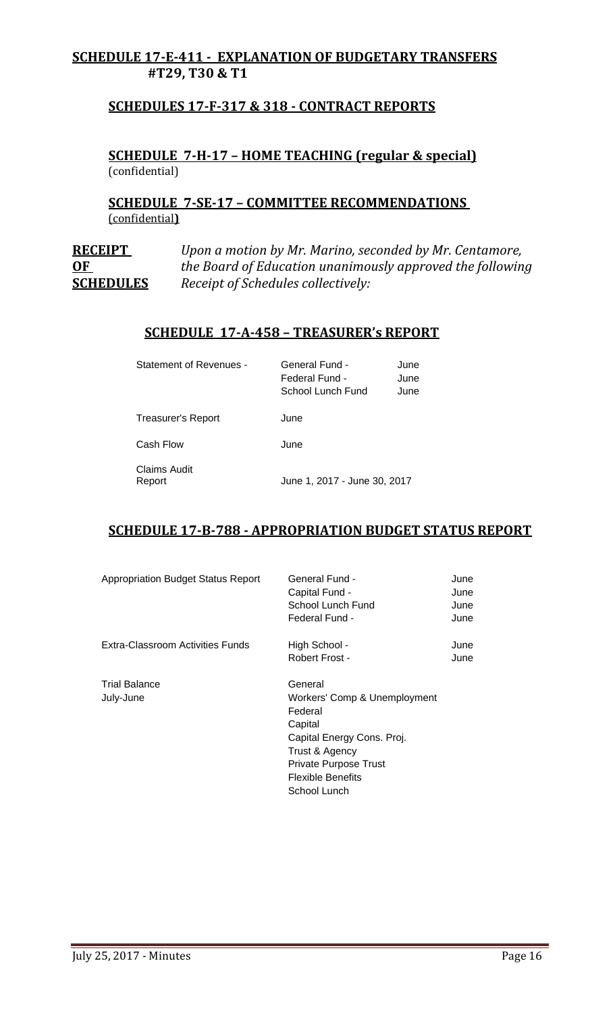# **SCHEDULE 17-E-411 - EXPLANATION OF BUDGETARY TRANSFERS #T29, T30 & T1**

# **SCHEDULES 17-F-317 & 318 - CONTRACT REPORTS**

# **SCHEDULE 7-H-17 – HOME TEACHING (regular & special)** (confidential)

**SCHEDULE 7-SE-17 – COMMITTEE RECOMMENDATIONS**  (confidential**)**

**RECEIPT** *Upon a motion by Mr. Marino, seconded by Mr. Centamore,*  **OF** *the Board of Education unanimously approved the following* **SCHEDULES** *Receipt of Schedules collectively:*

# **SCHEDULE 17-A-458 – TREASURER's REPORT**

| Statement of Revenues -   | General Fund -<br>Federal Fund -<br>School Lunch Fund | June<br>June<br>June |
|---------------------------|-------------------------------------------------------|----------------------|
| <b>Treasurer's Report</b> | June                                                  |                      |
| Cash Flow                 | June                                                  |                      |
| Claims Audit<br>Report    | June 1, 2017 - June 30, 2017                          |                      |

# **SCHEDULE 17-B-788 - APPROPRIATION BUDGET STATUS REPORT**

| <b>Appropriation Budget Status Report</b> | General Fund -<br>Capital Fund -<br>School Lunch Fund<br>Federal Fund -                                                                                                            | June<br>June<br>June<br>June |
|-------------------------------------------|------------------------------------------------------------------------------------------------------------------------------------------------------------------------------------|------------------------------|
| Extra-Classroom Activities Funds          | High School -<br>Robert Frost -                                                                                                                                                    | June<br>June                 |
| <b>Trial Balance</b><br>July-June         | General<br>Workers' Comp & Unemployment<br>Federal<br>Capital<br>Capital Energy Cons. Proj.<br>Trust & Agency<br>Private Purpose Trust<br><b>Flexible Benefits</b><br>School Lunch |                              |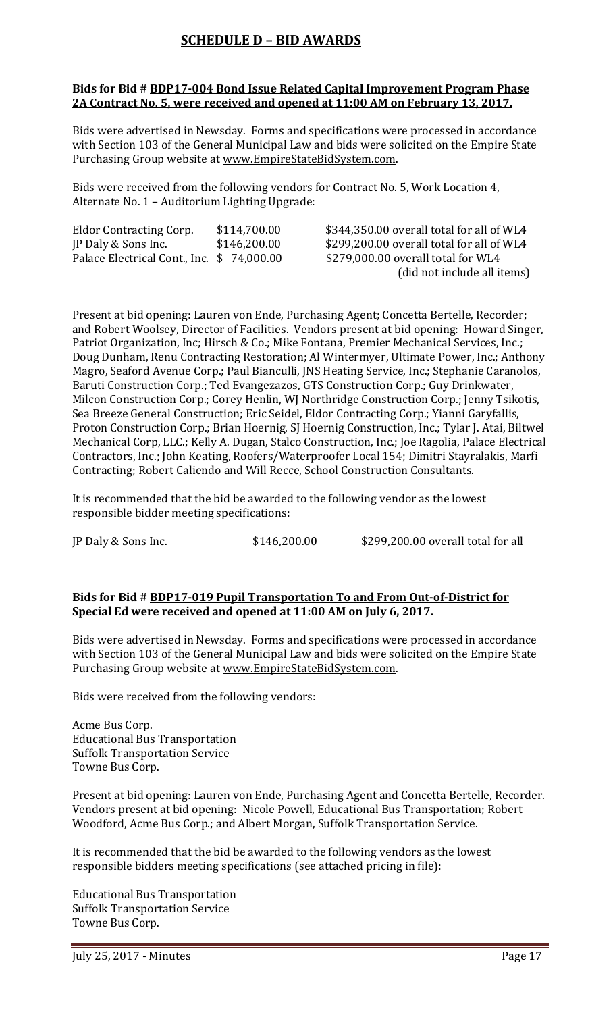# **SCHEDULE D – BID AWARDS**

#### **Bids for Bid # BDP17-004 Bond Issue Related Capital Improvement Program Phase 2A Contract No. 5, were received and opened at 11:00 AM on February 13, 2017.**

Bids were advertised in Newsday. Forms and specifications were processed in accordance with Section 103 of the General Municipal Law and bids were solicited on the Empire State Purchasing Group website at [www.EmpireStateBidSystem.com.](http://www.empirestatebidsystem.com/)

Bids were received from the following vendors for Contract No. 5, Work Location 4, Alternate No. 1 – Auditorium Lighting Upgrade:

| <b>Eldor Contracting Corp.</b>            | \$114,700.00 |
|-------------------------------------------|--------------|
| JP Daly & Sons Inc.                       | \$146,200.00 |
| Palace Electrical Cont., Inc. \$74,000.00 |              |

\$344,350.00 overall total for all of WL4 \$299,200.00 overall total for all of WL4 \$279,000.00 overall total for WL4 (did not include all items)

Present at bid opening: Lauren von Ende, Purchasing Agent; Concetta Bertelle, Recorder; and Robert Woolsey, Director of Facilities. Vendors present at bid opening: Howard Singer, Patriot Organization, Inc; Hirsch & Co.; Mike Fontana, Premier Mechanical Services, Inc.; Doug Dunham, Renu Contracting Restoration; Al Wintermyer, Ultimate Power, Inc.; Anthony Magro, Seaford Avenue Corp.; Paul Bianculli, JNS Heating Service, Inc.; Stephanie Caranolos, Baruti Construction Corp.; Ted Evangezazos, GTS Construction Corp.; Guy Drinkwater, Milcon Construction Corp.; Corey Henlin, WJ Northridge Construction Corp.; Jenny Tsikotis, Sea Breeze General Construction; Eric Seidel, Eldor Contracting Corp.; Yianni Garyfallis, Proton Construction Corp.; Brian Hoernig, SJ Hoernig Construction, Inc.; Tylar J. Atai, Biltwel Mechanical Corp, LLC.; Kelly A. Dugan, Stalco Construction, Inc.; Joe Ragolia, Palace Electrical Contractors, Inc.; John Keating, Roofers/Waterproofer Local 154; Dimitri Stayralakis, Marfi Contracting; Robert Caliendo and Will Recce, School Construction Consultants.

It is recommended that the bid be awarded to the following vendor as the lowest responsible bidder meeting specifications:

|--|

### **Bids for Bid # BDP17-019 Pupil Transportation To and From Out-of-District for Special Ed were received and opened at 11:00 AM on July 6, 2017.**

Bids were advertised in Newsday. Forms and specifications were processed in accordance with Section 103 of the General Municipal Law and bids were solicited on the Empire State Purchasing Group website at [www.EmpireStateBidSystem.com.](http://www.empirestatebidsystem.com/)

Bids were received from the following vendors:

Acme Bus Corp. Educational Bus Transportation Suffolk Transportation Service Towne Bus Corp.

Present at bid opening: Lauren von Ende, Purchasing Agent and Concetta Bertelle, Recorder. Vendors present at bid opening: Nicole Powell, Educational Bus Transportation; Robert Woodford, Acme Bus Corp.; and Albert Morgan, Suffolk Transportation Service.

It is recommended that the bid be awarded to the following vendors as the lowest responsible bidders meeting specifications (see attached pricing in file):

Educational Bus Transportation Suffolk Transportation Service Towne Bus Corp.